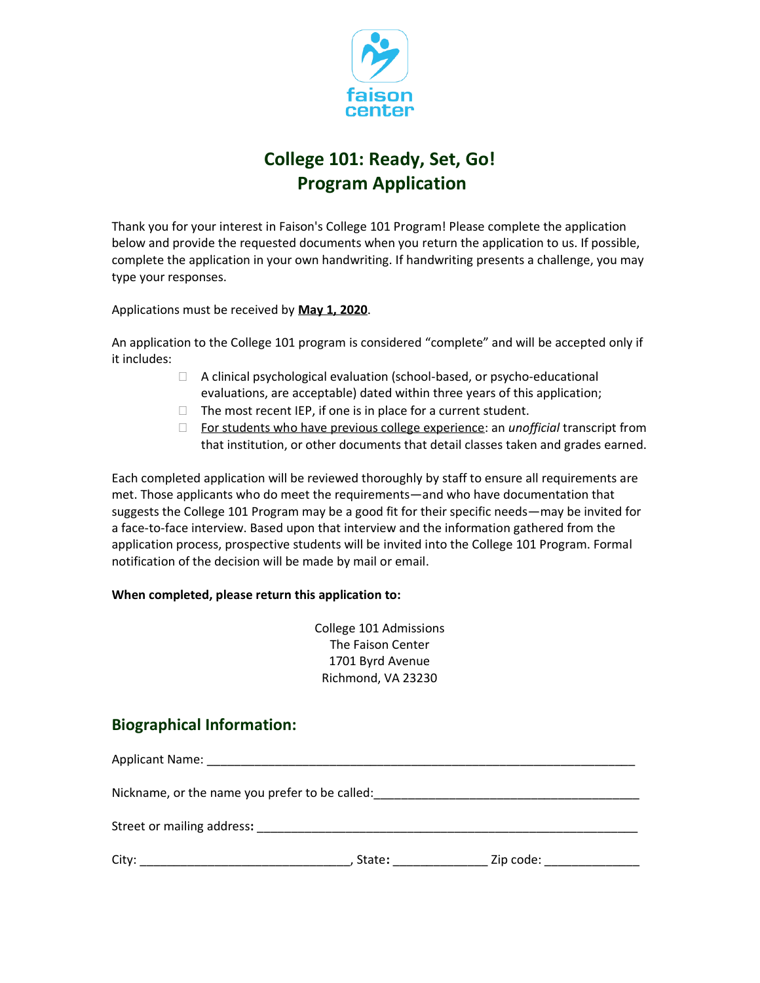

## **College 101: Ready, Set, Go! Program Application**

Thank you for your interest in Faison's College 101 Program! Please complete the application below and provide the requested documents when you return the application to us. If possible, complete the application in your own handwriting. If handwriting presents a challenge, you may type your responses.

Applications must be received by **May 1, 2020**.

An application to the College 101 program is considered "complete" and will be accepted only if it includes:

- $\Box$  A clinical psychological evaluation (school-based, or psycho-educational evaluations, are acceptable) dated within three years of this application;
- $\Box$  The most recent IEP, if one is in place for a current student.
- For students who have previous college experience: an *unofficial* transcript from that institution, or other documents that detail classes taken and grades earned.

Each completed application will be reviewed thoroughly by staff to ensure all requirements are met. Those applicants who do meet the requirements—and who have documentation that suggests the College 101 Program may be a good fit for their specific needs—may be invited for a face-to-face interview. Based upon that interview and the information gathered from the application process, prospective students will be invited into the College 101 Program. Formal notification of the decision will be made by mail or email.

## **When completed, please return this application to:**

College 101 Admissions The Faison Center 1701 Byrd Avenue Richmond, VA 23230

## **Biographical Information:**

Applicant Name: \_\_\_\_\_\_\_\_\_\_\_\_\_\_\_\_\_\_\_\_\_\_\_\_\_\_\_\_\_\_\_\_\_\_\_\_\_\_\_\_\_\_\_\_\_\_\_\_\_\_\_\_\_\_\_\_\_\_\_\_\_\_\_ Nickname, or the name you prefer to be called: Street or mailing address: City: \_\_\_\_\_\_\_\_\_\_\_\_\_\_\_\_\_\_\_\_\_\_\_\_\_\_\_\_\_\_\_, State**:** \_\_\_\_\_\_\_\_\_\_\_\_\_\_ Zip code: \_\_\_\_\_\_\_\_\_\_\_\_\_\_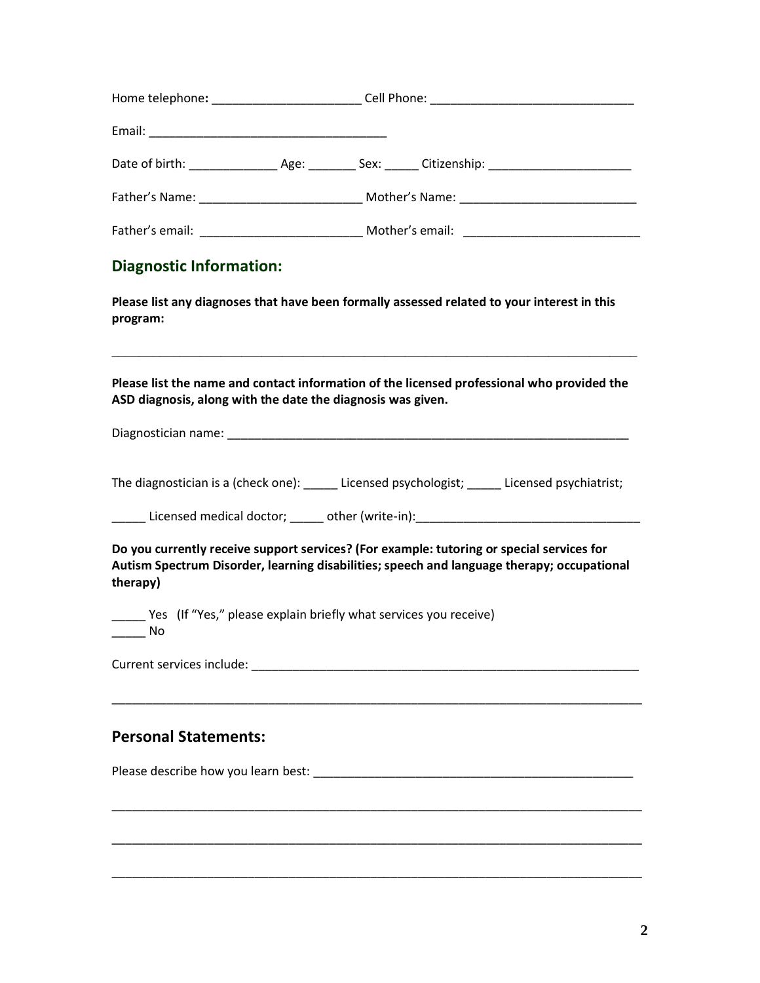| <b>Diagnostic Information:</b>                                                                    |                                                                                                                                                                                         |
|---------------------------------------------------------------------------------------------------|-----------------------------------------------------------------------------------------------------------------------------------------------------------------------------------------|
| program:                                                                                          | Please list any diagnoses that have been formally assessed related to your interest in this                                                                                             |
| ASD diagnosis, along with the date the diagnosis was given.                                       | Please list the name and contact information of the licensed professional who provided the                                                                                              |
|                                                                                                   |                                                                                                                                                                                         |
|                                                                                                   | The diagnostician is a (check one): ______ Licensed psychologist; ______ Licensed psychiatrist;                                                                                         |
|                                                                                                   |                                                                                                                                                                                         |
| therapy)                                                                                          | Do you currently receive support services? (For example: tutoring or special services for<br>Autism Spectrum Disorder, learning disabilities; speech and language therapy; occupational |
| _____ Yes (If "Yes," please explain briefly what services you receive)<br>$\rule{1em}{0.15mm}$ No |                                                                                                                                                                                         |
|                                                                                                   |                                                                                                                                                                                         |
| <b>Personal Statements:</b>                                                                       |                                                                                                                                                                                         |
|                                                                                                   |                                                                                                                                                                                         |
|                                                                                                   |                                                                                                                                                                                         |
|                                                                                                   |                                                                                                                                                                                         |

\_\_\_\_\_\_\_\_\_\_\_\_\_\_\_\_\_\_\_\_\_\_\_\_\_\_\_\_\_\_\_\_\_\_\_\_\_\_\_\_\_\_\_\_\_\_\_\_\_\_\_\_\_\_\_\_\_\_\_\_\_\_\_\_\_\_\_\_\_\_\_\_\_\_\_\_\_\_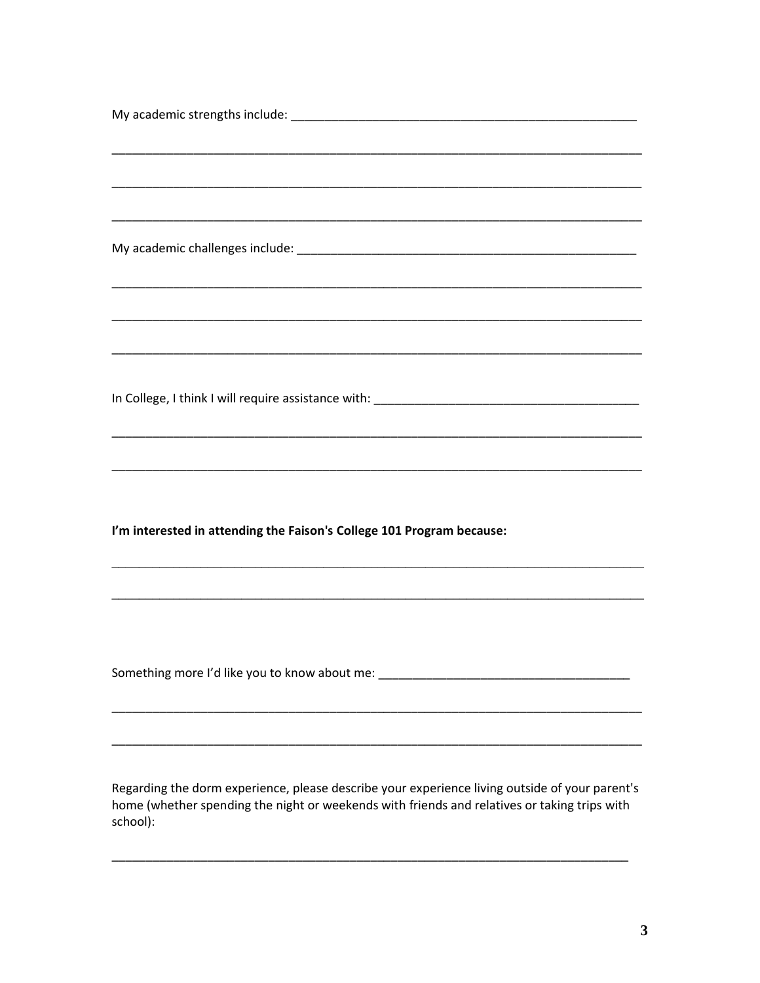| I'm interested in attending the Faison's College 101 Program because:                          |
|------------------------------------------------------------------------------------------------|
|                                                                                                |
|                                                                                                |
|                                                                                                |
|                                                                                                |
| Something more I'd like you to know about me: __________________________________               |
|                                                                                                |
|                                                                                                |
|                                                                                                |
|                                                                                                |
| Regarding the dorm experience, please describe your experience living outside of your parent's |

Regarding the dorm experience, please describe your experience living outside of your parent's home (whether spending the night or weekends with friends and relatives or taking trips with school):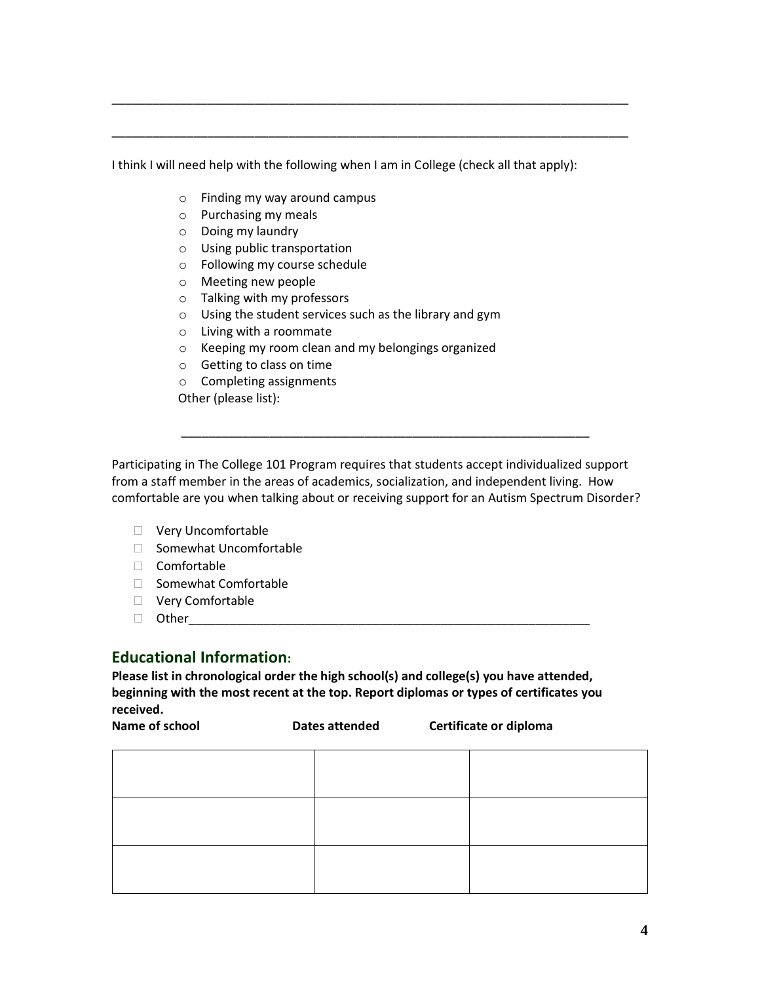I think I will need help with the following when I am in College (check all that apply):

\_\_\_\_\_\_\_\_\_\_\_\_\_\_\_\_\_\_\_\_\_\_\_\_\_\_\_\_\_\_\_\_\_\_\_\_\_\_\_\_\_\_\_\_\_\_\_\_\_\_\_\_\_\_\_\_\_\_\_\_\_\_\_\_\_\_\_\_\_\_\_\_\_\_\_\_

\_\_\_\_\_\_\_\_\_\_\_\_\_\_\_\_\_\_\_\_\_\_\_\_\_\_\_\_\_\_\_\_\_\_\_\_\_\_\_\_\_\_\_\_\_\_\_\_\_\_\_\_\_\_\_\_\_\_\_\_\_\_\_\_\_\_\_\_\_\_\_\_\_\_\_\_

- o Finding my way around campus
- o Purchasing my meals
- o Doing my laundry
- o Using public transportation
- o Following my course schedule
- o Meeting new people
- o Talking with my professors
- o Using the student services such as the library and gym
- o Living with a roommate
- o Keeping my room clean and my belongings organized
- o Getting to class on time
- o Completing assignments

Other (please list):

Participating in The College 101 Program requires that students accept individualized support from a staff member in the areas of academics, socialization, and independent living. How comfortable are you when talking about or receiving support for an Autism Spectrum Disorder?

\_\_\_\_\_\_\_\_\_\_\_\_\_\_\_\_\_\_\_\_\_\_\_\_\_\_\_\_\_\_\_\_\_\_\_\_\_\_\_\_\_\_\_\_\_\_\_\_\_\_\_\_\_\_\_\_\_\_\_\_

- Very Uncomfortable
- □ Somewhat Uncomfortable
- Comfortable
- $\Box$  Somewhat Comfortable
- □ Very Comfortable
- Other\_\_\_\_\_\_\_\_\_\_\_\_\_\_\_\_\_\_\_\_\_\_\_\_\_\_\_\_\_\_\_\_\_\_\_\_\_\_\_\_\_\_\_\_\_\_\_\_\_\_\_\_\_\_\_\_\_\_\_

## **Educational Information:**

**Please list in chronological order the high school(s) and college(s) you have attended, beginning with the most recent at the top. Report diplomas or types of certificates you received.**

| Name of school | Dates attended | Certificate or diploma |
|----------------|----------------|------------------------|
|                |                |                        |